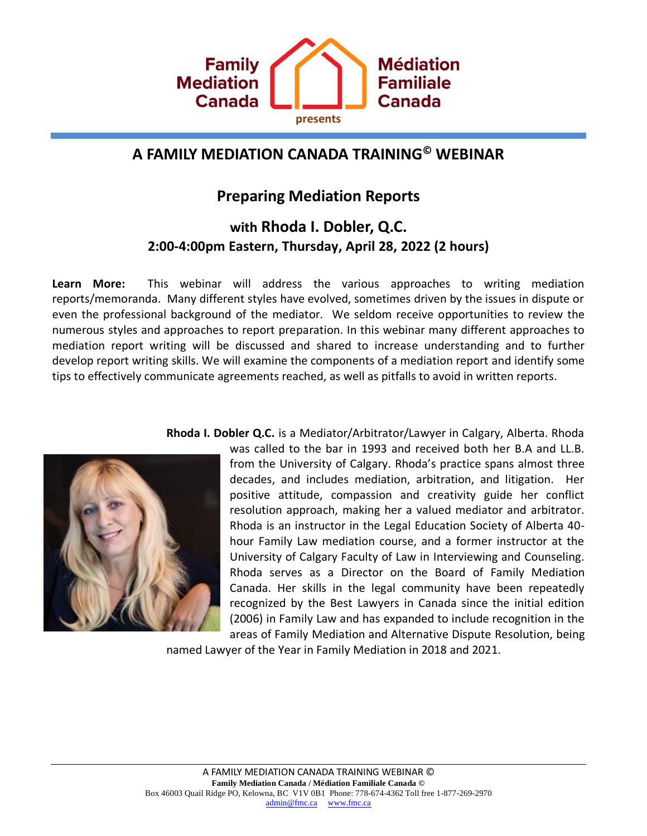

# **A FAMILY MEDIATION CANADA TRAINING© WEBINAR**

## **Preparing Mediation Reports**

## **with Rhoda I. Dobler, Q.C. 2:00-4:00pm Eastern, Thursday, April 28, 2022 (2 hours)**

**Learn More:** This webinar will address the various approaches to writing mediation reports/memoranda. Many different styles have evolved, sometimes driven by the issues in dispute or even the professional background of the mediator. We seldom receive opportunities to review the numerous styles and approaches to report preparation. In this webinar many different approaches to mediation report writing will be discussed and shared to increase understanding and to further develop report writing skills. We will examine the components of a mediation report and identify some tips to effectively communicate agreements reached, as well as pitfalls to avoid in written reports.



**Rhoda I. Dobler Q.C.** is a Mediator/Arbitrator/Lawyer in Calgary, Alberta. Rhoda

was called to the bar in 1993 and received both her B.A and LL.B. from the University of Calgary. Rhoda's practice spans almost three decades, and includes mediation, arbitration, and litigation. Her positive attitude, compassion and creativity guide her conflict resolution approach, making her a valued mediator and arbitrator. Rhoda is an instructor in the Legal Education Society of Alberta 40 hour Family Law mediation course, and a former instructor at the University of Calgary Faculty of Law in Interviewing and Counseling. Rhoda serves as a Director on the Board of Family Mediation Canada. Her skills in the legal community have been repeatedly recognized by the Best Lawyers in Canada since the initial edition (2006) in Family Law and has expanded to include recognition in the areas of Family Mediation and Alternative Dispute Resolution, being

named Lawyer of the Year in Family Mediation in 2018 and 2021.